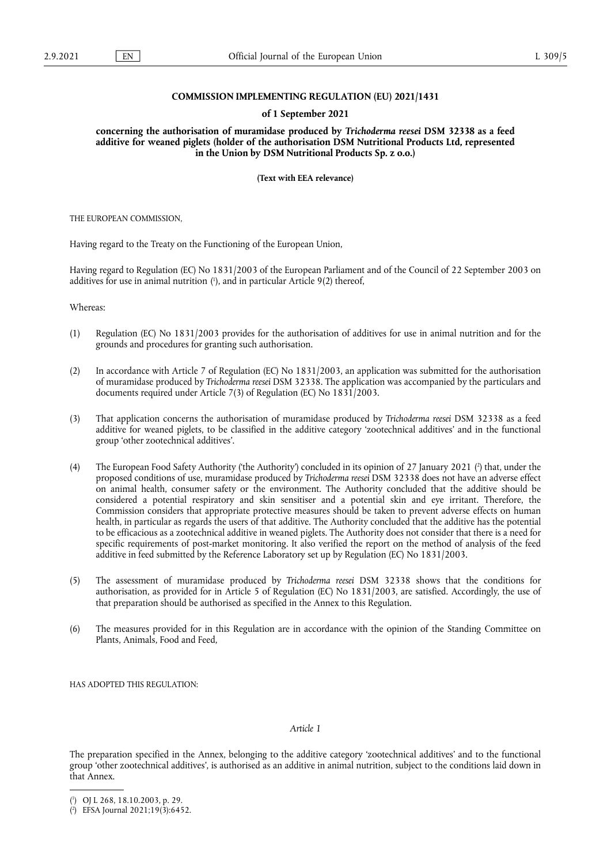## **COMMISSION IMPLEMENTING REGULATION (EU) 2021/1431**

## **of 1 September 2021**

**concerning the authorisation of muramidase produced by** *Trichoderma reesei* **DSM 32338 as a feed additive for weaned piglets (holder of the authorisation DSM Nutritional Products Ltd, represented in the Union by DSM Nutritional Products Sp. z o.o.)** 

**(Text with EEA relevance)** 

THE EUROPEAN COMMISSION,

Having regard to the Treaty on the Functioning of the European Union,

<span id="page-0-2"></span>Having regard to Regulation (EC) No 1831/2003 of the European Parliament and of the Council of 22 September 2003 on additives for use in animal nutrition ( 1 [\),](#page-0-0) and in particular Article 9(2) thereof,

Whereas:

- (1) Regulation (EC) No 1831/2003 provides for the authorisation of additives for use in animal nutrition and for the grounds and procedures for granting such authorisation.
- (2) In accordance with Article 7 of Regulation (EC) No 1831/2003, an application was submitted for the authorisation of muramidase produced by *Trichoderma reesei* DSM 32338. The application was accompanied by the particulars and documents required under Article 7(3) of Regulation (EC) No 1831/2003.
- (3) That application concerns the authorisation of muramidase produced by *Trichoderma reesei* DSM 32338 as a feed additive for weaned piglets, to be classified in the additive category 'zootechnical additives' and in the functional group 'other zootechnical additives'.
- <span id="page-0-3"></span>(4) The European Food Safety Authority ('the Authority') concluded in its opinion of 27 January 2021 [\(](#page-0-1) 2 ) that, under the proposed conditions of use, muramidase produced by *Trichoderma reesei* DSM 32338 does not have an adverse effect on animal health, consumer safety or the environment. The Authority concluded that the additive should be considered a potential respiratory and skin sensitiser and a potential skin and eye irritant. Therefore, the Commission considers that appropriate protective measures should be taken to prevent adverse effects on human health, in particular as regards the users of that additive. The Authority concluded that the additive has the potential to be efficacious as a zootechnical additive in weaned piglets. The Authority does not consider that there is a need for specific requirements of post-market monitoring. It also verified the report on the method of analysis of the feed additive in feed submitted by the Reference Laboratory set up by Regulation (EC) No 1831/2003.
- (5) The assessment of muramidase produced by *Trichoderma reesei* DSM 32338 shows that the conditions for authorisation, as provided for in Article 5 of Regulation (EC) No 1831/2003, are satisfied. Accordingly, the use of that preparation should be authorised as specified in the Annex to this Regulation.
- (6) The measures provided for in this Regulation are in accordance with the opinion of the Standing Committee on Plants, Animals, Food and Feed,

HAS ADOPTED THIS REGULATION.

## *Article 1*

The preparation specified in the Annex, belonging to the additive category 'zootechnical additives' and to the functional group 'other zootechnical additives', is authorised as an additive in animal nutrition, subject to the conditions laid down in that Annex.

<span id="page-0-0"></span>[<sup>\(</sup>](#page-0-2) 1 ) OJ L 268, 18.10.2003, p. 29.

<span id="page-0-1"></span><sup>(</sup> 2 [\)](#page-0-3) EFSA Journal 2021;19(3):6452.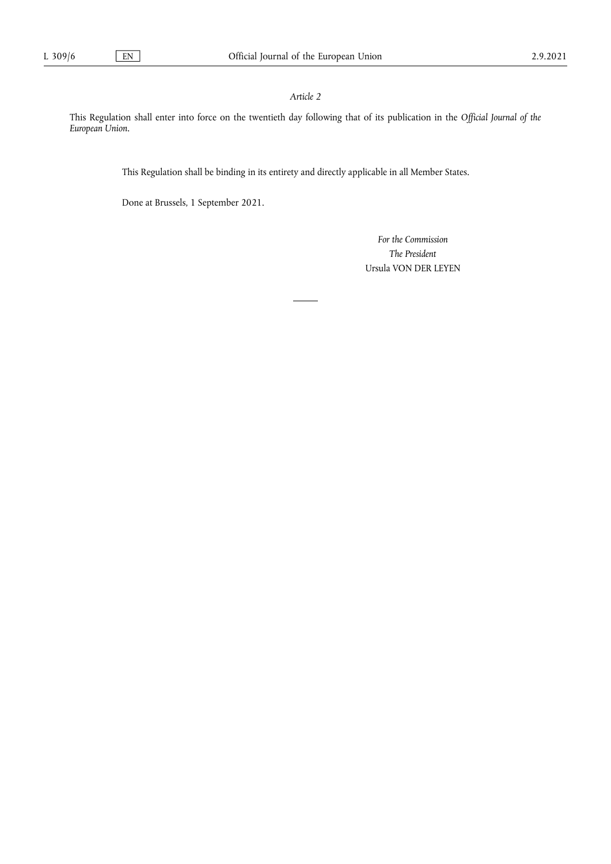## *Article 2*

This Regulation shall enter into force on the twentieth day following that of its publication in the *Official Journal of the European Union.*

This Regulation shall be binding in its entirety and directly applicable in all Member States.

Done at Brussels, 1 September 2021.

*For the Commission The President* Ursula VON DER LEYEN